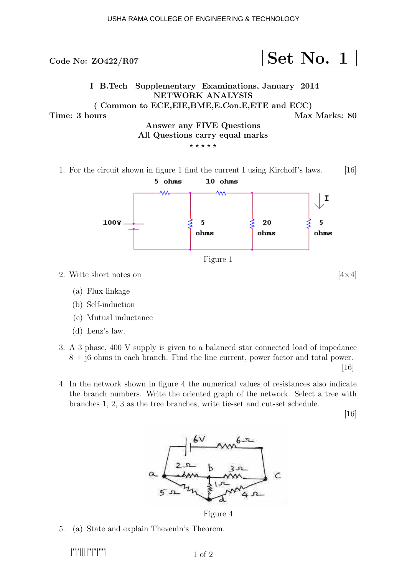

- (b) Self-induction
- (c) Mutual inductance
- (d) Lenz's law.
- 3. A 3 phase, 400 V supply is given to a balanced star connected load of impedance 8 + j6 ohms in each branch. Find the line current, power factor and total power.

 $|16|$ 

4. In the network shown in figure 4 the numerical values of resistances also indicate the branch numbers. Write the oriented graph of the network. Select a tree with branches 1, 2, 3 as the tree branches, write tie-set and cut-set schedule.

[16]



Figure 4

5. (a) State and explain Thevenin's Theorem.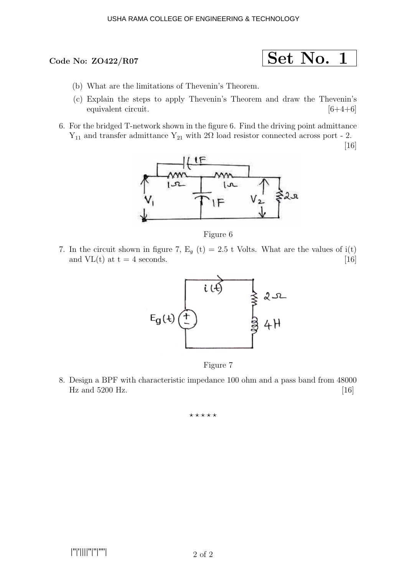## Code No: ZO422/R07

$$
\fbox{Set No. 1}
$$

- (b) What are the limitations of Thevenin's Theorem.
- (c) Explain the steps to apply Thevenin's Theorem and draw the Thevenin's equivalent circuit. [6+4+6]
- 6. For the bridged T-network shown in the figure 6. Find the driving point admittance  $Y_{11}$  and transfer admittance  $Y_{21}$  with 2Ω load resistor connected across port - 2.

[16]



Figure 6

7. In the circuit shown in figure 7,  $E_q(t) = 2.5 t$  Volts. What are the values of i(t) and  $VL(t)$  at  $t = 4$  seconds. [16]



Figure 7

8. Design a BPF with characteristic impedance 100 ohm and a pass band from 48000 Hz and  $5200$  Hz.  $[16]$ 

⋆ ⋆ ⋆ ⋆ ⋆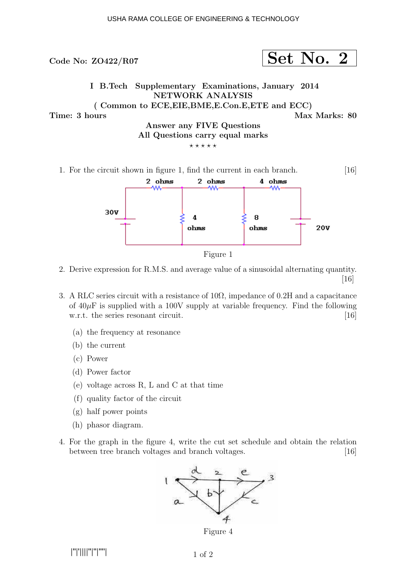



Figure 1

- 2. Derive expression for R.M.S. and average value of a sinusoidal alternating quantity. [16]
- 3. A RLC series circuit with a resistance of  $10\Omega$ , impedance of 0.2H and a capacitance of  $40\mu$ F is supplied with a 100V supply at variable frequency. Find the following w.r.t. the series resonant circuit. [16]
	- (a) the frequency at resonance
	- (b) the current
	- (c) Power
	- (d) Power factor
	- (e) voltage across R, L and C at that time
	- (f) quality factor of the circuit
	- (g) half power points
	- (h) phasor diagram.
- 4. For the graph in the figure 4, write the cut set schedule and obtain the relation between tree branch voltages and branch voltages. [16]



Figure 4

|''|'||||''|''|''''|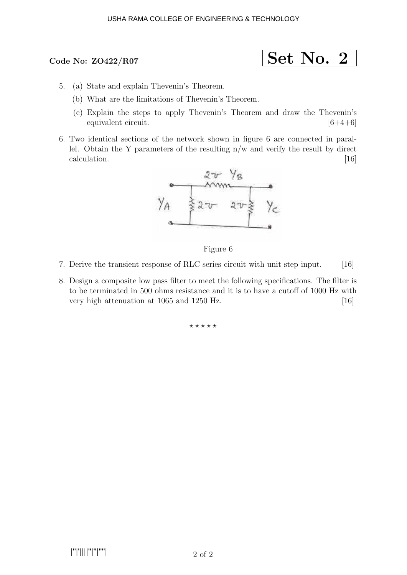# Code No:  $ZO422/R07$

$$
\fbox{Set No. 2}
$$

- 5. (a) State and explain Thevenin's Theorem.
	- (b) What are the limitations of Thevenin's Theorem.
	- (c) Explain the steps to apply Thevenin's Theorem and draw the Thevenin's equivalent circuit.  $[6+4+6]$
- 6. Two identical sections of the network shown in figure 6 are connected in parallel. Obtain the Y parameters of the resulting n/w and verify the result by direct calculation. [16]  $[16]$



Figure 6

- 7. Derive the transient response of RLC series circuit with unit step input. [16]
- 8. Design a composite low pass filter to meet the following specifications. The filter is to be terminated in 500 ohms resistance and it is to have a cutoff of 1000 Hz with very high attenuation at 1065 and 1250 Hz. [16]

 $***$ \*\*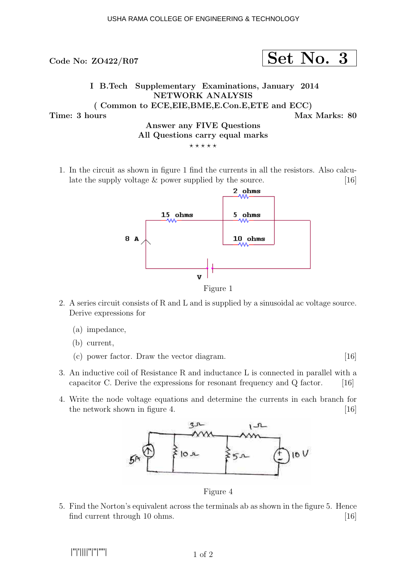Code No:  $ZO422/R07$  Set No. 3 I B.Tech Supplementary Examinations, January 2014 NETWORK ANALYSIS ( Common to ECE,EIE,BME,E.Con.E,ETE and ECC) Time: 3 hours and the set of the set of the Max Marks: 80 Answer any FIVE Questions All Questions carry equal marks  $***$ \*\*

1. In the circuit as shown in figure 1 find the currents in all the resistors. Also calculate the supply voltage  $\&$  power supplied by the source. [16]



- 2. A series circuit consists of R and L and is supplied by a sinusoidal ac voltage source. Derive expressions for
	- (a) impedance,

(b) current,

- (c) power factor. Draw the vector diagram. [16]
- 3. An inductive coil of Resistance R and inductance L is connected in parallel with a capacitor C. Derive the expressions for resonant frequency and  $Q$  factor. [16]
- 4. Write the node voltage equations and determine the currents in each branch for the network shown in figure 4.  $[16]$



Figure 4

5. Find the Norton's equivalent across the terminals ab as shown in the figure 5. Hence find current through 10 ohms. [16]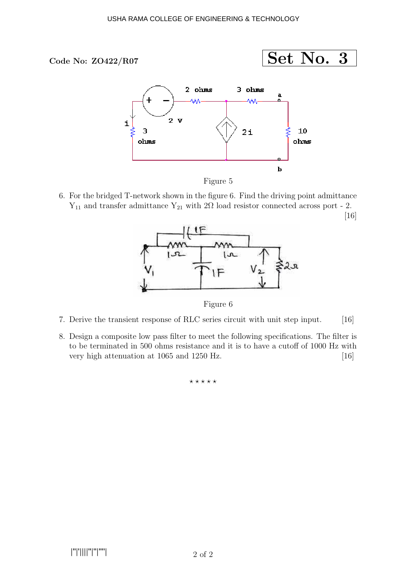

[16]



6. For the bridged T-network shown in the figure 6. Find the driving point admittance  $Y_{11}$  and transfer admittance  $Y_{21}$  with 2Ω load resistor connected across port - 2.



Figure 6

- 7. Derive the transient response of RLC series circuit with unit step input. [16]
- 8. Design a composite low pass filter to meet the following specifications. The filter is to be terminated in 500 ohms resistance and it is to have a cutoff of 1000 Hz with very high attenuation at 1065 and 1250 Hz. [16]

 $***$ \*\*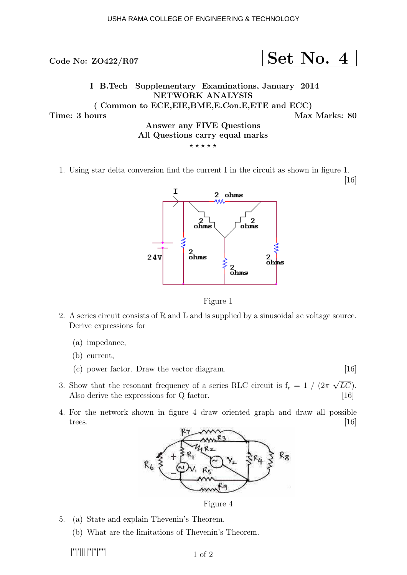

1. Using star delta conversion find the current I in the circuit as shown in figure 1.

[16]



Figure 1

- 2. A series circuit consists of R and L and is supplied by a sinusoidal ac voltage source. Derive expressions for
	- (a) impedance,
	- (b) current,
	- (c) power factor. Draw the vector diagram. [16]
- 3. Show that the resonant frequency of a series RLC circuit is  $f_r = 1 / (2\pi \sqrt{LC})$ . Also derive the expressions for Q factor. [16]
- 4. For the network shown in figure 4 draw oriented graph and draw all possible trees.  $[16]$



Figure 4

- 5. (a) State and explain Thevenin's Theorem.
	- (b) What are the limitations of Thevenin's Theorem.